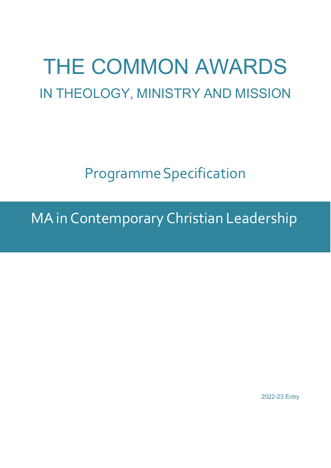# THE COMMON AWARDS IN THEOLOGY, MINISTRY AND MISSION

ProgrammeSpecification

MAin Contemporary Christian Leadership

2022-23 Entry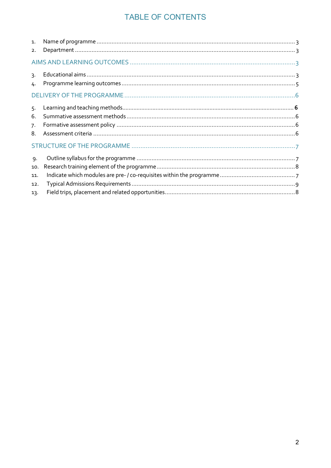# TABLE OF CONTENTS

| 1.<br>2. |  |  |  |  |
|----------|--|--|--|--|
|          |  |  |  |  |
| 3.<br>4. |  |  |  |  |
|          |  |  |  |  |
| 5.       |  |  |  |  |
| 6.       |  |  |  |  |
| 7.<br>8  |  |  |  |  |
|          |  |  |  |  |
| 9.       |  |  |  |  |
| 10.      |  |  |  |  |
| 11.      |  |  |  |  |
| 12.      |  |  |  |  |
| 13.      |  |  |  |  |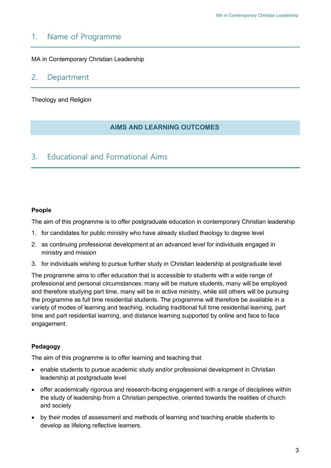## <span id="page-2-0"></span>1. Name of Programme

<span id="page-2-1"></span>MA in Contemporary Christian Leadership

## 2. Department

Theology and Religion

## **AIMS AND LEARNING OUTCOMES**

## 3. Educational and Formational Aims

#### **People**

The aim of this programme is to offer postgraduate education in contemporary Christian leadership

- 1. for candidates for public ministry who have already studied theology to degree level
- 2. as continuing professional development at an advanced level for individuals engaged in ministry and mission
- 3. for individuals wishing to pursue further study in Christian leadership at postgraduate level

The programme aims to offer education that is accessible to students with a wide range of professional and personal circumstances: many will be mature students, many will be employed and therefore studying part time, many will be in active ministry, while still others will be pursuing the programme as full time residential students. The programme will therefore be available in a variety of modes of learning and teaching, including traditional full time residential learning, part time and part residential learning, and distance learning supported by online and face to face engagement.

## **Pedagogy**

The aim of this programme is to offer learning and teaching that

- enable students to pursue academic study and/or professional development in Christian leadership at postgraduate level
- offer academically rigorous and research-facing engagement with a range of disciplines within the study of leadership from a Christian perspective, oriented towards the realities of church and society
- by their modes of assessment and methods of learning and teaching enable students to develop as lifelong reflective learners.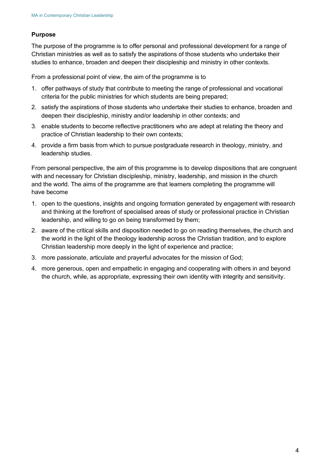### **Purpose**

The purpose of the programme is to offer personal and professional development for a range of Christian ministries as well as to satisfy the aspirations of those students who undertake their studies to enhance, broaden and deepen their discipleship and ministry in other contexts.

From a professional point of view, the aim of the programme is to

- 1. offer pathways of study that contribute to meeting the range of professional and vocational criteria for the public ministries for which students are being prepared;
- 2. satisfy the aspirations of those students who undertake their studies to enhance, broaden and deepen their discipleship, ministry and/or leadership in other contexts; and
- 3. enable students to become reflective practitioners who are adept at relating the theory and practice of Christian leadership to their own contexts;
- 4. provide a firm basis from which to pursue postgraduate research in theology, ministry, and leadership studies.

From personal perspective, the aim of this programme is to develop dispositions that are congruent with and necessary for Christian discipleship, ministry, leadership, and mission in the church and the world. The aims of the programme are that learners completing the programme will have become

- 1. open to the questions, insights and ongoing formation generated by engagement with research and thinking at the forefront of specialised areas of study or professional practice in Christian leadership, and willing to go on being transformed by them;
- 2. aware of the critical skills and disposition needed to go on reading themselves, the church and the world in the light of the theology leadership across the Christian tradition, and to explore Christian leadership more deeply in the light of experience and practice;
- 3. more passionate, articulate and prayerful advocates for the mission of God;
- 4. more generous, open and empathetic in engaging and cooperating with others in and beyond the church, while, as appropriate, expressing their own identity with integrity and sensitivity.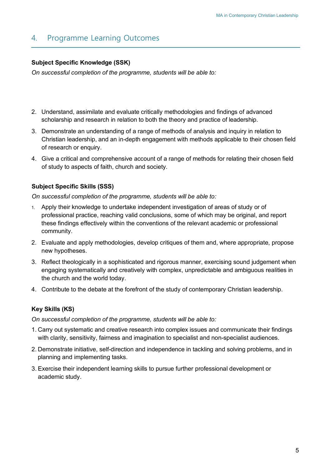## <span id="page-4-0"></span>4. Programme Learning Outcomes

## **Subject Specific Knowledge (SSK)**

*On successful completion of the programme, students will be able to:*

- 2. Understand, assimilate and evaluate critically methodologies and findings of advanced scholarship and research in relation to both the theory and practice of leadership.
- 3. Demonstrate an understanding of a range of methods of analysis and inquiry in relation to Christian leadership, and an in-depth engagement with methods applicable to their chosen field of research or enquiry.
- 4. Give a critical and comprehensive account of a range of methods for relating their chosen field of study to aspects of faith, church and society.

### **Subject Specific Skills (SSS)**

*On successful completion of the programme, students will be able to:*

- 1. Apply their knowledge to undertake independent investigation of areas of study or of professional practice, reaching valid conclusions, some of which may be original, and report these findings effectively within the conventions of the relevant academic or professional community.
- 2. Evaluate and apply methodologies, develop critiques of them and, where appropriate, propose new hypotheses.
- 3. Reflect theologically in a sophisticated and rigorous manner, exercising sound judgement when engaging systematically and creatively with complex, unpredictable and ambiguous realities in the church and the world today.
- 4. Contribute to the debate at the forefront of the study of contemporary Christian leadership.

## **Key Skills (KS)**

*On successful completion of the programme, students will be able to:*

- 1. Carry out systematic and creative research into complex issues and communicate their findings with clarity, sensitivity, fairness and imagination to specialist and non-specialist audiences.
- 2. Demonstrate initiative, self-direction and independence in tackling and solving problems, and in planning and implementing tasks.
- 3. Exercise their independent learning skills to pursue further professional development or academic study.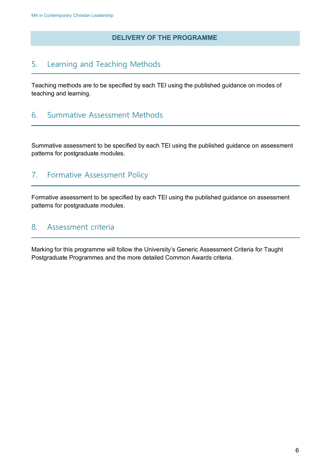## **DELIVERY OF THE PROGRAMME**

# 5. Learning and Teaching Methods

Teaching methods are to be specified by each TEI using the published guidance on modes of teaching and learning.

## <span id="page-5-0"></span>6. Summative Assessment Methods

Summative assessment to be specified by each TEI using the published guidance on assessment patterns for postgraduate modules.

## <span id="page-5-1"></span>7. Formative Assessment Policy

Formative assessment to be specified by each TEI using the published guidance on assessment patterns for postgraduate modules.

## <span id="page-5-2"></span>8. Assessment criteria

Marking for this programme will follow the University's Generic Assessment Criteria for Taught Postgraduate Programmes and the more detailed Common Awards criteria.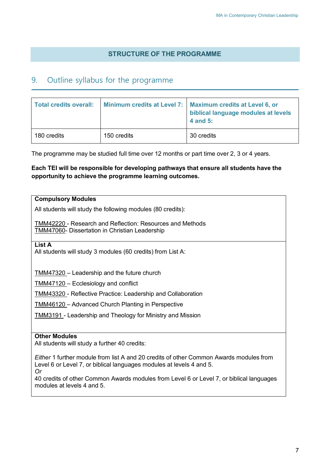## **STRUCTURE OF THE PROGRAMME**

## <span id="page-6-0"></span>9. Outline syllabus for the programme

| <b>Total credits overall:</b> |             | Minimum credits at Level 7:   Maximum credits at Level 6, or<br>biblical language modules at levels<br>4 and 5: |
|-------------------------------|-------------|-----------------------------------------------------------------------------------------------------------------|
| 180 credits                   | 150 credits | 30 credits                                                                                                      |

The programme may be studied full time over 12 months or part time over 2, 3 or 4 years.

## **Each TEI will be responsible for developing pathways that ensure all students have the opportunity to achieve the programme learning outcomes.**

#### **Compulsory Modules**

All students will study the following modules (80 credits):

TMM42220 - Research and Reflection: Resources and Methods TMM47060- Dissertation in Christian Leadership

**List A**

All students will study 3 modules (60 credits) from List A:

TMM47320 – Leadership and the future church

TMM47120 – Ecclesiology and conflict

TMM43320 - Reflective Practice: Leadership and Collaboration

TMM46120 – Advanced Church Planting in Perspective

TMM3191 - Leadership and Theology for Ministry and Mission

#### **Other Modules**

All students will study a further 40 credits:

*Either* 1 further module from list A and 20 credits of other Common Awards modules from Level 6 or Level 7, or biblical languages modules at levels 4 and 5. *Or*

40 credits of other Common Awards modules from Level 6 or Level 7, or biblical languages modules at levels 4 and 5.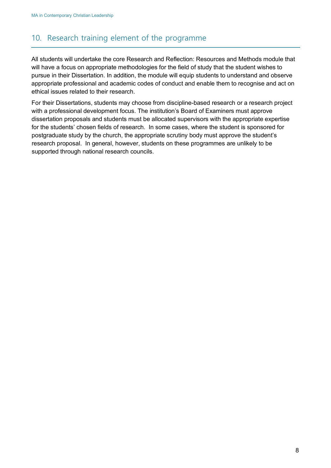# <span id="page-7-0"></span>10. Research training element of the programme

All students will undertake the core Research and Reflection: Resources and Methods module that will have a focus on appropriate methodologies for the field of study that the student wishes to pursue in their Dissertation. In addition, the module will equip students to understand and observe appropriate professional and academic codes of conduct and enable them to recognise and act on ethical issues related to their research.

For their Dissertations, students may choose from discipline-based research or a research project with a professional development focus. The institution's Board of Examiners must approve dissertation proposals and students must be allocated supervisors with the appropriate expertise for the students' chosen fields of research. In some cases, where the student is sponsored for postgraduate study by the church, the appropriate scrutiny body must approve the student's research proposal. In general, however, students on these programmes are unlikely to be supported through national research councils.